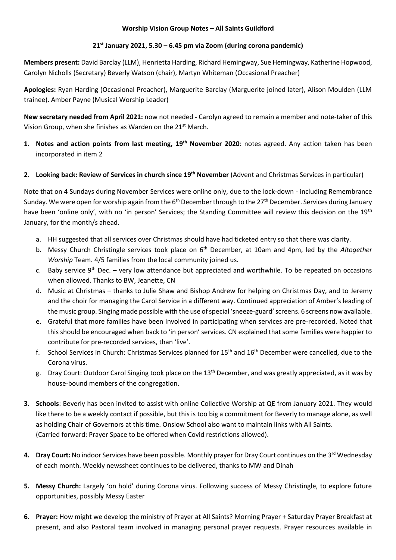### **Worship Vision Group Notes – All Saints Guildford**

## **21st January 2021, 5.30 – 6.45 pm via Zoom (during corona pandemic)**

**Members present:** David Barclay (LLM), Henrietta Harding, Richard Hemingway, Sue Hemingway, Katherine Hopwood, Carolyn Nicholls (Secretary) Beverly Watson (chair), Martyn Whiteman (Occasional Preacher)

**Apologies:** Ryan Harding (Occasional Preacher), Marguerite Barclay (Marguerite joined later), Alison Moulden (LLM trainee). Amber Payne (Musical Worship Leader)

**New secretary needed from April 2021:** now not needed **-** Carolyn agreed to remain a member and note-taker of this Vision Group, when she finishes as Warden on the 21<sup>st</sup> March.

- **1. Notes and action points from last meeting, 19th November 2020**: notes agreed. Any action taken has been incorporated in item 2
- **2. Looking back: Review of Services in church since 19th November** (Advent and Christmas Services in particular)

Note that on 4 Sundays during November Services were online only, due to the lock-down - including Remembrance Sunday. We were open for worship again from the 6<sup>th</sup> December through to the 27<sup>th</sup> December. Services during January have been 'online only', with no 'in person' Services; the Standing Committee will review this decision on the 19<sup>th</sup> January, for the month/s ahead.

- a. HH suggested that all services over Christmas should have had ticketed entry so that there was clarity.
- b. Messy Church Christingle services took place on 6th December, at 10am and 4pm, led by the *Altogether Worship* Team. 4/5 families from the local community joined us.
- c. Baby service  $9^{th}$  Dec. very low attendance but appreciated and worthwhile. To be repeated on occasions when allowed. Thanks to BW, Jeanette, CN
- d. Music at Christmas thanks to Julie Shaw and Bishop Andrew for helping on Christmas Day, and to Jeremy and the choir for managing the Carol Service in a different way. Continued appreciation of Amber's leading of the music group. Singing made possible with the use of special 'sneeze-guard' screens. 6 screens now available.
- e. Grateful that more families have been involved in participating when services are pre-recorded. Noted that this should be encouraged when back to 'in person' services. CN explained that some families were happier to contribute for pre-recorded services, than 'live'.
- f. School Services in Church: Christmas Services planned for 15<sup>th</sup> and 16<sup>th</sup> December were cancelled, due to the Corona virus.
- g. Dray Court: Outdoor Carol Singing took place on the 13<sup>th</sup> December, and was greatly appreciated, as it was by house-bound members of the congregation.
- **3. Schools**: Beverly has been invited to assist with online Collective Worship at QE from January 2021. They would like there to be a weekly contact if possible, but this is too big a commitment for Beverly to manage alone, as well as holding Chair of Governors at this time. Onslow School also want to maintain links with All Saints. (Carried forward: Prayer Space to be offered when Covid restrictions allowed).
- 4. **Dray Court:** No indoor Services have been possible. Monthly prayer for Dray Court continues on the 3<sup>rd</sup> Wednesday of each month. Weekly newssheet continues to be delivered, thanks to MW and Dinah
- **5. Messy Church:** Largely 'on hold' during Corona virus. Following success of Messy Christingle, to explore future opportunities, possibly Messy Easter
- **6. Prayer:** How might we develop the ministry of Prayer at All Saints? Morning Prayer + Saturday Prayer Breakfast at present, and also Pastoral team involved in managing personal prayer requests. Prayer resources available in